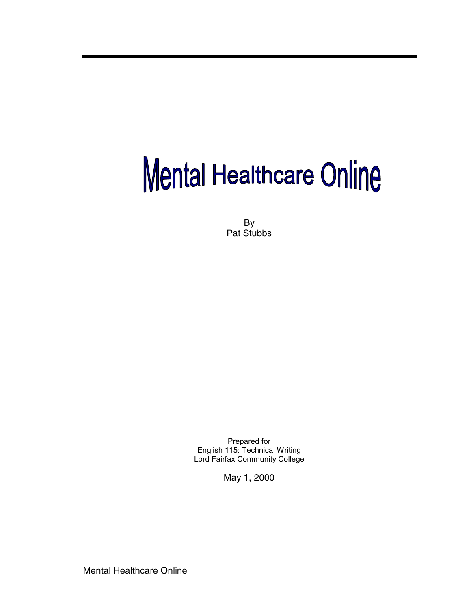# Mental Healthcare Online

By Pat Stubbs

Prepared for English 115: Technical Writing Lord Fairfax Community College

May 1, 2000

Mental Healthcare Online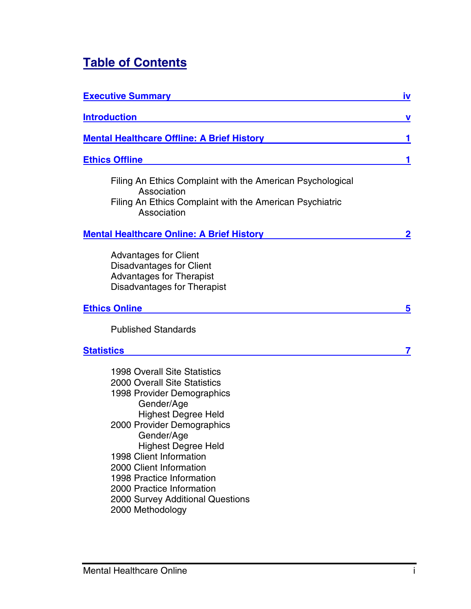# **Table of Contents**

| <b>Executive Summary</b>                                                                                                                                                                                                                                                                                                                                                                               | <u>iv</u> |
|--------------------------------------------------------------------------------------------------------------------------------------------------------------------------------------------------------------------------------------------------------------------------------------------------------------------------------------------------------------------------------------------------------|-----------|
| <b>Introduction</b>                                                                                                                                                                                                                                                                                                                                                                                    | V         |
| <b>Mental Healthcare Offline: A Brief History</b>                                                                                                                                                                                                                                                                                                                                                      | 1         |
| <b>Ethics Offline</b>                                                                                                                                                                                                                                                                                                                                                                                  |           |
| Filing An Ethics Complaint with the American Psychological<br>Association<br>Filing An Ethics Complaint with the American Psychiatric<br>Association                                                                                                                                                                                                                                                   |           |
| <b>Mental Healthcare Online: A Brief History</b>                                                                                                                                                                                                                                                                                                                                                       | <u>2</u>  |
| <b>Advantages for Client</b><br><b>Disadvantages for Client</b><br><b>Advantages for Therapist</b><br>Disadvantages for Therapist<br><b>Ethics Online</b>                                                                                                                                                                                                                                              | 5         |
|                                                                                                                                                                                                                                                                                                                                                                                                        |           |
| <b>Published Standards</b><br><b>Statistics</b>                                                                                                                                                                                                                                                                                                                                                        | 7         |
| <b>1998 Overall Site Statistics</b><br><b>2000 Overall Site Statistics</b><br>1998 Provider Demographics<br>Gender/Age<br><b>Highest Degree Held</b><br>2000 Provider Demographics<br>Gender/Age<br><b>Highest Degree Held</b><br>1998 Client Information<br>2000 Client Information<br>1998 Practice Information<br>2000 Practice Information<br>2000 Survey Additional Questions<br>2000 Methodology |           |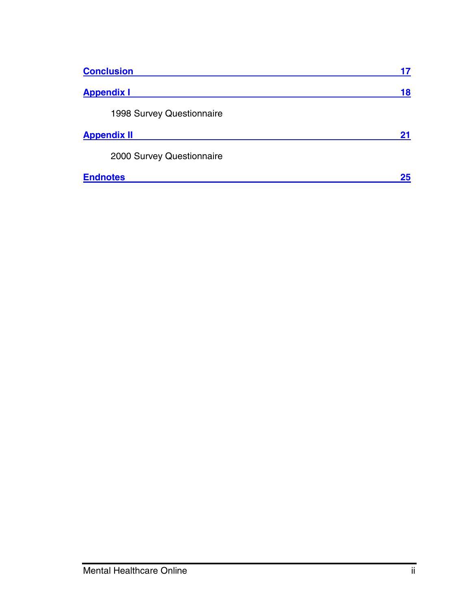| <b>Conclusion</b>         | 17 |
|---------------------------|----|
| <b>Appendix I</b>         | 18 |
| 1998 Survey Questionnaire |    |
| <b>Appendix II</b>        | 21 |
| 2000 Survey Questionnaire |    |
| <b>Endnotes</b>           | 25 |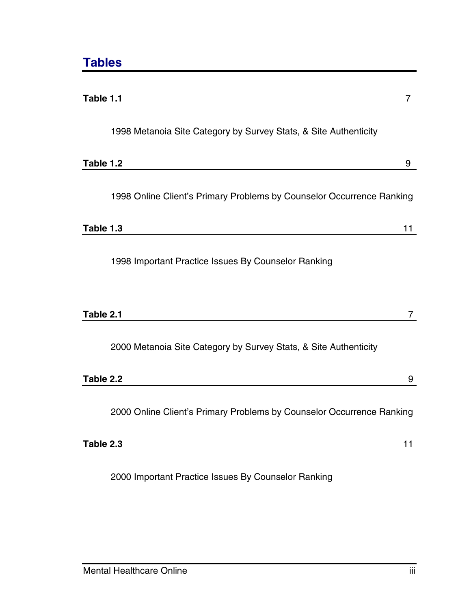| Table 1.1                                                             | 7  |
|-----------------------------------------------------------------------|----|
| 1998 Metanoia Site Category by Survey Stats, & Site Authenticity      |    |
| Table 1.2                                                             | 9  |
| 1998 Online Client's Primary Problems by Counselor Occurrence Ranking |    |
| Table 1.3                                                             | 11 |
| 1998 Important Practice Issues By Counselor Ranking                   |    |
| Table 2.1                                                             | 7  |
| 2000 Metanoia Site Category by Survey Stats, & Site Authenticity      |    |
| Table 2.2                                                             | 9  |
| 2000 Online Client's Primary Problems by Counselor Occurrence Ranking |    |
| Table 2.3                                                             | 11 |
|                                                                       |    |

2000 Important Practice Issues By Counselor Ranking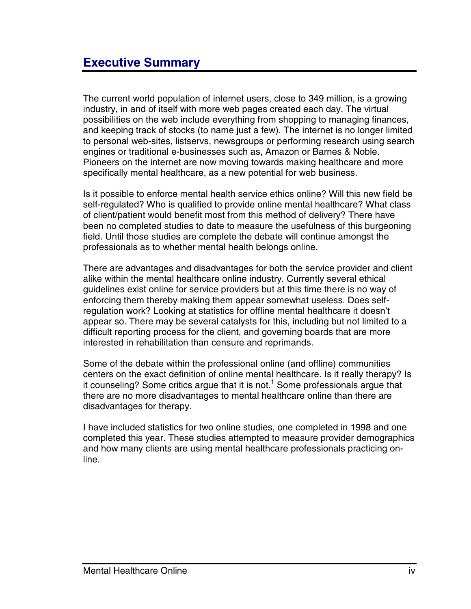<span id="page-4-0"></span>The current world population of internet users, close to 349 million, is a growing industry, in and of itself with more web pages created each day. The virtual possibilities on the web include everything from shopping to managing finances, and keeping track of stocks (to name just a few). The internet is no longer limited to personal web-sites, listservs, newsgroups or performing research using search engines or traditional e-businesses such as, Amazon or Barnes & Noble. Pioneers on the internet are now moving towards making healthcare and more specifically mental healthcare, as a new potential for web business.

Is it possible to enforce mental health service ethics online? Will this new field be self-regulated? Who is qualified to provide online mental healthcare? What class of client/patient would benefit most from this method of delivery? There have been no completed studies to date to measure the usefulness of this burgeoning field. Until those studies are complete the debate will continue amongst the professionals as to whether mental health belongs online.

There are advantages and disadvantages for both the service provider and client alike within the mental healthcare online industry. Currently several ethical guidelines exist online for service providers but at this time there is no way of enforcing them thereby making them appear somewhat useless. Does selfregulation work? Looking at statistics for offline mental healthcare it doesn't appear so. There may be several catalysts for this, including but not limited to a difficult reporting process for the client, and governing boards that are more interested in rehabilitation than censure and reprimands.

Some of the debate within the professional online (and offline) communities centers on the exact definition of online mental healthcare. Is it really therapy? Is it counseling? Some critics argue that it is not.<sup>1</sup> Some professionals argue that there are no more disadvantages to mental healthcare online than there are disadvantages for therapy.

I have included statistics for two online studies, one completed in 1998 and one completed this year. These studies attempted to measure provider demographics and how many clients are using mental healthcare professionals practicing online.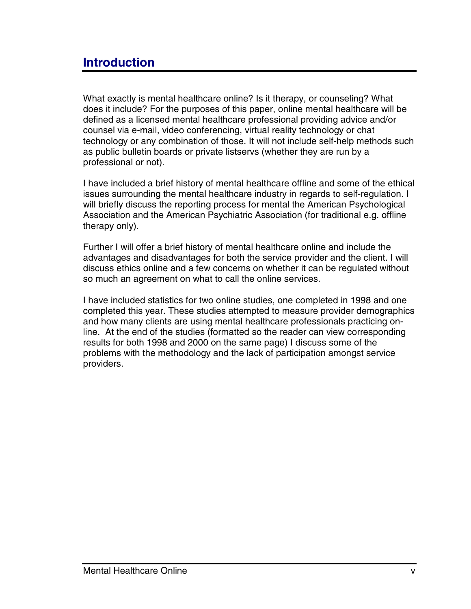# <span id="page-5-0"></span>**Introduction**

What exactly is mental healthcare online? Is it therapy, or counseling? What does it include? For the purposes of this paper, online mental healthcare will be defined as a licensed mental healthcare professional providing advice and/or counsel via e-mail, video conferencing, virtual reality technology or chat technology or any combination of those. It will not include self-help methods such as public bulletin boards or private listservs (whether they are run by a professional or not).

I have included a brief history of mental healthcare offline and some of the ethical issues surrounding the mental healthcare industry in regards to self-regulation. I will briefly discuss the reporting process for mental the American Psychological Association and the American Psychiatric Association (for traditional e.g. offline therapy only).

Further I will offer a brief history of mental healthcare online and include the advantages and disadvantages for both the service provider and the client. I will discuss ethics online and a few concerns on whether it can be regulated without so much an agreement on what to call the online services.

I have included statistics for two online studies, one completed in 1998 and one completed this year. These studies attempted to measure provider demographics and how many clients are using mental healthcare professionals practicing online. At the end of the studies (formatted so the reader can view corresponding results for both 1998 and 2000 on the same page) I discuss some of the problems with the methodology and the lack of participation amongst service providers.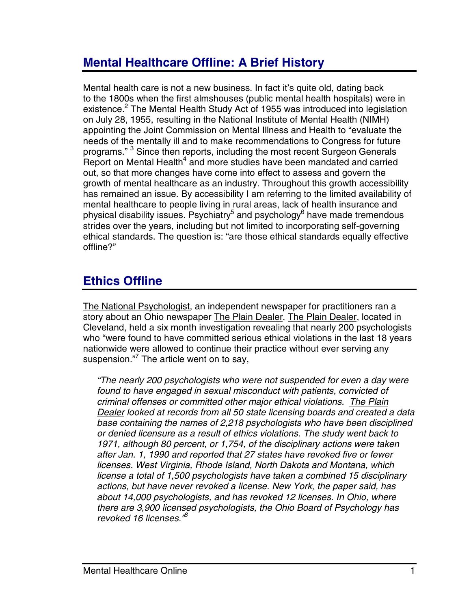# <span id="page-6-0"></span>**Mental Healthcare Offline: A Brief History**

Mental health care is not a new business. In fact it's quite old, dating back to the 180[0s](#page-31-0) when the first almshouses (public mental health hospitals) were in existence.<sup>2</sup> The Mental Health Study Act of 1955 was introduced into legislation on July 28, 1955, resulting in the National Institute of Mental Health (NIMH) appointing the Joint Commission on Mental Illness and Health to "evaluate the needs of the mentally ill and to make recommendations to Congress for future programs." <sup>[3](#page-31-0)</sup> Since then reports, including the most recent Surgeon Generals Report on Mental Health $4$  and more studies have been mandated and carried out, so that more changes have come into effect to assess and govern the growth of mental healthcare as an industry. Throughout this growth accessibility has remained an issue. By accessibility I am referring to the limited availability of mental healthcare to people living in [ru](#page-31-0)ral areas, lack [o](#page-31-0)f health insurance and physical disability issues. Psychiatry<sup>5</sup> and psychology<sup>6</sup> have made tremendous strides over the years, including but not limited to incorporating self-governing ethical standards. The question is: "are those ethical standards equally effective offline?"

# **Ethics Offline**

The National Psychologist, an independent newspaper for practitioners ran a story about an Ohio newspaper The Plain Dealer. The Plain Dealer, located in Cleveland, held a six month investigation revealing that nearly 200 psychologists who "were found to have committed serious ethical violations in the last 18 years nationwide were allowed to continue their practice without ever serving any suspension."<sup>[7](#page-31-0)</sup> The article went on to say,

*"The nearly 200 psychologists who were not suspended for even a day were found to have engaged in sexual misconduct with patients, convicted of criminal offenses or committed other major ethical violations. The Plain Dealer looked at records from all 50 state licensing boards and created a data base containing the names of 2,218 psychologists who have been disciplined or denied licensure as a result of ethics violations. The study went back to 1971, although 80 percent, or 1,754, of the disciplinary actions were taken after Jan. 1, 1990 and reported that 27 states have revoked five or fewer licenses. West Virginia, Rhode Island, North Dakota and Montana, which license a total of 1,500 psychologists have taken a combined 15 disciplinary actions, but have never revoked a license. New York, the paper said, has about 14,000 psychologists, and has revoked 12 licenses. In Ohio, where there are 3,900 licensed psychologists, the Ohio Board of Psychology has revoked 16 licenses.["8](#page-31-0)*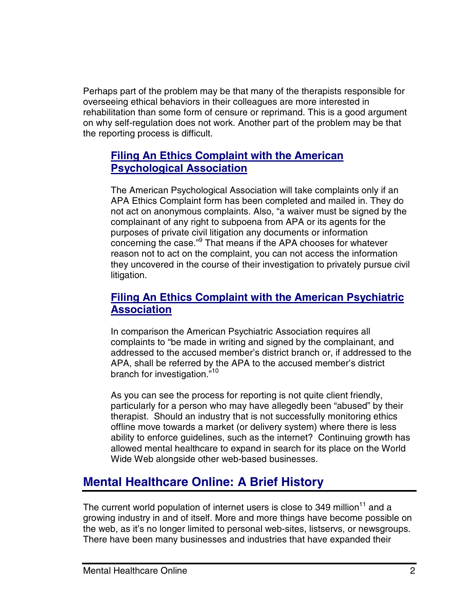<span id="page-7-0"></span>Perhaps part of the problem may be that many of the therapists responsible for overseeing ethical behaviors in their colleagues are more interested in rehabilitation than some form of censure or reprimand. This is a good argument on why self-regulation does not work. Another part of the problem may be that the reporting process is difficult.

## **Filing An Ethics Complaint with the American Psychological Association**

The American Psychological Association will take complaints only if an APA Ethics Complaint form has been completed and mailed in. They do not act on anonymous complaints. Also, "a waiver must be signed by the complainant of any right to subpoena from APA or its agents for the purposes of private ci[vil](#page-31-0) litigation any documents or information concerning the case."9 That means if the APA chooses for whatever reason not to act on the complaint, you can not access the information they uncovered in the course of their investigation to privately pursue civil litigation.

## **Filing An Ethics Complaint with the American Psychiatric Association**

In comparison the American Psychiatric Association requires all complaints to "be made in writing and signed by the complainant, and addressed to the accused member's district branch or, if addressed to the APA, shall be referred by the APA to the accused member's district branch for investigation."<sup>10</sup>

As you can see the process for reporting is not quite client friendly, particularly for a person who may have allegedly been "abused" by their therapist. Should an industry that is not successfully monitoring ethics offline move towards a market (or delivery system) where there is less ability to enforce guidelines, such as the internet? Continuing growth has allowed mental healthcare to expand in search for its place on the World Wide Web alongside other web-based businesses.

# **Mental Healthcare Online: A Brief History**

The current world population of internet users is close to 349 million $11$  and a growing industry in and of itself. More and more things have become possible on the web, as it's no longer limited to personal web-sites, listservs, or newsgroups. There have been many businesses and industries that have expanded their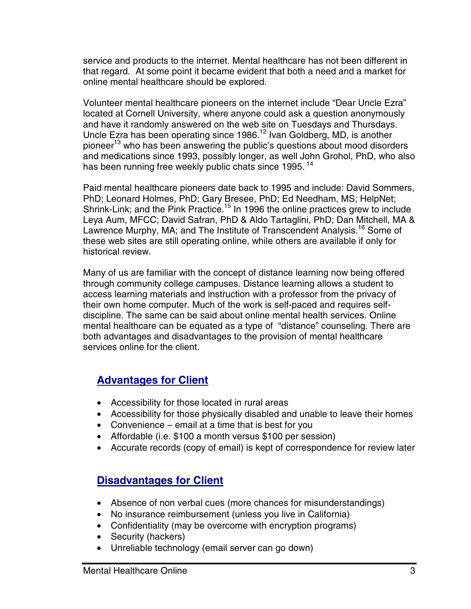service and products to the internet. Mental healthcare has not been different in that regard. At some point it became evident that both a need and a market for online mental healthcare should be explored.

Volunteer mental healthcare pioneers on the internet include "Dear Uncle Ezra" located at Cornell University, where anyone could ask a question anonymously and have it randomly answered on the web site on Tuesdays and Thursdays. Uncle Ezra has been operating since 1986.<sup>12</sup> Ivan Goldberg, MD, is another pioneer<sup>13</sup> who has been answering the public's questions about mood disorders and medications since 1993, possibly longer, as well John Grohol, PhD, who also has been running free weekly public chats since 1995.<sup>[14](#page-31-0)</sup>

Paid mental healthcare pioneers date back to 1995 and include: David Sommers, PhD; Leonard Holmes, PhD; Gary Bresee, PhD; Ed Needham, MS; HelpNet; Shrink-Link; and the Pink Practice.<sup>15</sup> In 1996 the online practices grew to include Leya Aum, MFCC; David Safran, PhD & Aldo Tartaglini, PhD; Dan Mitchell, MA & Lawrence Murphy, MA; and The Institute of Transcendent Analysis.<sup>16</sup> Some of these web sites are still operating online, while others are available if only for historical review.

Many of us are familiar with the concept of distance learning now being offered through community college campuses. Distance learning allows a student to access learning materials and instruction with a professor from the privacy of their own home computer. Much of the work is self-paced and requires selfdiscipline. The same can be said about online mental health services. Online mental healthcare can be equated as a type of "distance" counseling. There are both advantages and disadvantages to the provision of mental healthcare services online for the client.

## **Advantages for Client**

- Accessibility for those located in rural areas
- Accessibility for those physically disabled and unable to leave their homes
- Convenience email at a time that is best for you
- Affordable (i.e. \$100 a month versus \$100 per session)
- Accurate records (copy of email) is kept of correspondence for review later

## **Disadvantages for Client**

- Absence of non verbal cues (more chances for misunderstandings)
- No insurance reimbursement (unless you live in California)
- Confidentiality (may be overcome with encryption programs)
- Security (hackers)
- Unreliable technology (email server can go down)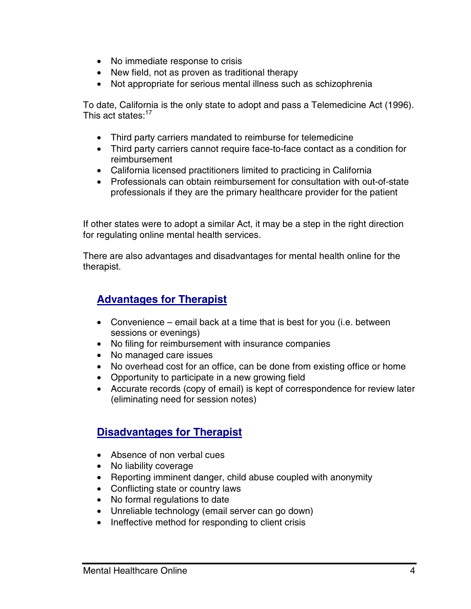- No immediate response to crisis
- New field, not as proven as traditional therapy
- Not appropriate for serious mental illness such as schizophrenia

To date, California is the only state to adopt and pass a Telemedicine Act (1996). This act states:<sup>[17](#page-31-0)</sup>

- Third party carriers mandated to reimburse for telemedicine
- Third party carriers cannot require face-to-face contact as a condition for reimbursement
- California licensed practitioners limited to practicing in California
- Professionals can obtain reimbursement for consultation with out-of-state professionals if they are the primary healthcare provider for the patient

If other states were to adopt a similar Act, it may be a step in the right direction for regulating online mental health services.

There are also advantages and disadvantages for mental health online for the therapist.

## **Advantages for Therapist**

- Convenience email back at a time that is best for you (i.e. between sessions or evenings)
- No filing for reimbursement with insurance companies
- No managed care issues
- No overhead cost for an office, can be done from existing office or home
- Opportunity to participate in a new growing field
- Accurate records (copy of email) is kept of correspondence for review later (eliminating need for session notes)

#### **Disadvantages for Therapist**

- Absence of non verbal cues
- No liability coverage
- Reporting imminent danger, child abuse coupled with anonymity
- Conflicting state or country laws
- No formal regulations to date
- Unreliable technology (email server can go down)
- Ineffective method for responding to client crisis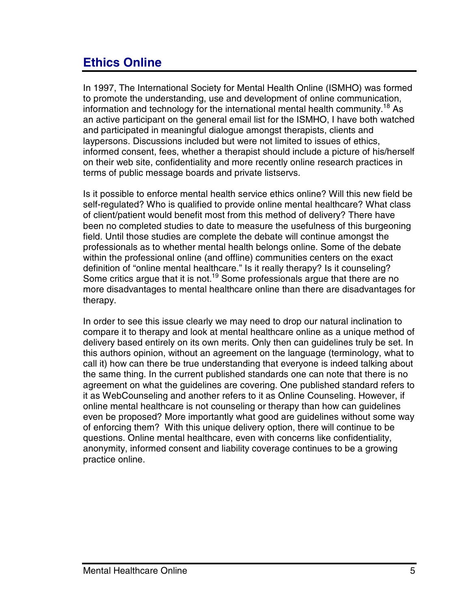# <span id="page-10-0"></span>**Ethics Online**

In 1997, The International Society for Mental Health Online (ISMHO) was formed to promote the understanding, use and development of online communication, information and technology for the international mental health community.<sup>18</sup> As an active participant on the general email list for the ISMHO, I have both watched and participated in meaningful dialogue amongst therapists, clients and laypersons. Discussions included but were not limited to issues of ethics, informed consent, fees, whether a therapist should include a picture of his/herself on their web site, confidentiality and more recently online research practices in terms of public message boards and private listservs.

Is it possible to enforce mental health service ethics online? Will this new field be self-regulated? Who is qualified to provide online mental healthcare? What class of client/patient would benefit most from this method of delivery? There have been no completed studies to date to measure the usefulness of this burgeoning field. Until those studies are complete the debate will continue amongst the professionals as to whether mental health belongs online. Some of the debate within the professional online (and offline) communities centers on the exact definition of "online mental healthcare." Is it really therapy? Is it counseling? Some critics argue that it is not.<sup>19</sup> Some professionals argue that there are no more disadvantages to mental healthcare online than there are disadvantages for therapy.

In order to see this issue clearly we may need to drop our natural inclination to compare it to therapy and look at mental healthcare online as a unique method of delivery based entirely on its own merits. Only then can guidelines truly be set. In this authors opinion, without an agreement on the language (terminology, what to call it) how can there be true understanding that everyone is indeed talking about the same thing. In the current published standards one can note that there is no agreement on what the guidelines are covering. One published standard refers to it as WebCounseling and another refers to it as Online Counseling. However, if online mental healthcare is not counseling or therapy than how can guidelines even be proposed? More importantly what good are guidelines without some way of enforcing them? With this unique delivery option, there will continue to be questions. Online mental healthcare, even with concerns like confidentiality, anonymity, informed consent and liability coverage continues to be a growing practice online.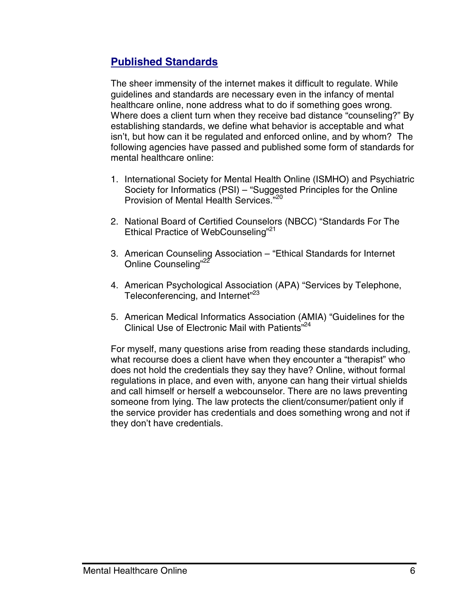## **Published Standards**

The sheer immensity of the internet makes it difficult to regulate. While guidelines and standards are necessary even in the infancy of mental healthcare online, none address what to do if something goes wrong. Where does a client turn when they receive bad distance "counseling?" By establishing standards, we define what behavior is acceptable and what isn't, but how can it be regulated and enforced online, and by whom? The following agencies have passed and published some form of standards for mental healthcare online:

- 1. International Society for Mental Health Online (ISMHO) and Psychiatric Society for Informatics (PSI) – "Suggested Principles for the Online Provision of Mental Health Services."<sup>20</sup>
- 2. National Board of Certified Counselors (NBCC) "Standards For The Ethical Practice of WebCounseling"<sup>[21](#page-31-0)</sup>
- 3. American Counseling Association "Ethical Standards for Internet Online Counseling"<sup>22</sup>
- 4. American Psychological Association (APA) "Services by Telephone, Teleconferencing, and Internet"<sup>[23](#page-31-0)</sup>
- 5. American Medical Informatics Association ([AM](#page-31-0)IA) "Guidelines for the Clinical Use of Electronic Mail with Patients"<sup>24</sup>

For myself, many questions arise from reading these standards including, what recourse does a client have when they encounter a "therapist" who does not hold the credentials they say they have? Online, without formal regulations in place, and even with, anyone can hang their virtual shields and call himself or herself a webcounselor. There are no laws preventing someone from lying. The law protects the client/consumer/patient only if the service provider has credentials and does something wrong and not if they don't have credentials.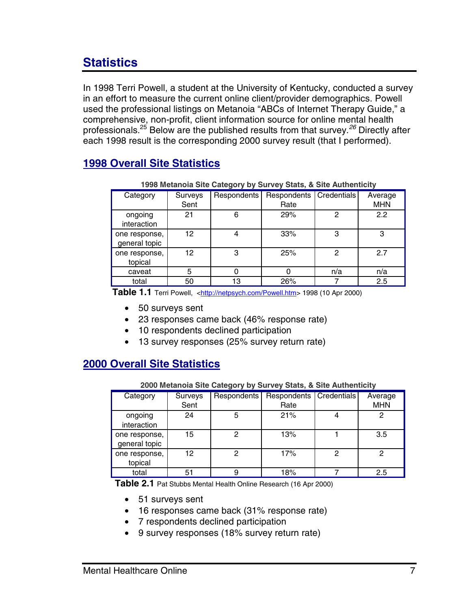# <span id="page-12-0"></span>**Statistics**

In 1998 Terri Powell, a student at the University of Kentucky, conducted a survey in an effort to measure the current online client/provider demographics. Powell used the professional listings on Metanoia "ABCs of Internet Therapy Guide," a comprehensive, non-profit, client information source for online mental health professionals.[25](#page-31-0) Below are the published results from that survey.*[26](#page-31-0)* Directly after each 1998 result is the corresponding 2000 survey result (that I performed).

## **1998 Overall Site Statistics**

| 1990 mctanola one oalegory by oarvey oldis, a one Admentiony |         |             |             |             |            |
|--------------------------------------------------------------|---------|-------------|-------------|-------------|------------|
| Category                                                     | Surveys | Respondents | Respondents | Credentials | Average    |
|                                                              | Sent    |             | Rate        |             | <b>MHN</b> |
| ongoing                                                      | 21      | 6           | 29%         | 2           | 2.2        |
| interaction                                                  |         |             |             |             |            |
| one response,                                                | 12      | 4           | 33%         | 3           | 3          |
| general topic                                                |         |             |             |             |            |
| one response,                                                | 12      | 3           | 25%         | 2           | 2.7        |
| topical                                                      |         |             |             |             |            |
| caveat                                                       | 5       |             |             | n/a         | n/a        |
| total                                                        | 50      | 13          | 26%         |             | 2.5        |

**1998 Metanoia Site Category by Survey Stats, & Site Authenticity**

**Table 1.1** Terri Powell, <[http://netpsych.com/Powell.htm>](http://netpsych.com/Powell.htm) 1998 (10 Apr 2000)

- 50 surveys sent
- 23 responses came back (46% response rate)
- 10 respondents declined participation
- 13 survey responses (25% survey return rate)

## **2000 Overall Site Statistics**

**2000 Metanoia Site Category by Survey Stats, & Site Authenticity**

| Category                       | Surveys | Respondents | Respondents   Credentials |   | Average    |
|--------------------------------|---------|-------------|---------------------------|---|------------|
|                                | Sent    |             | Rate                      |   | <b>MHN</b> |
| ongoing<br>interaction         | 24      | 5           | 21%                       |   | ႒          |
| one response,<br>general topic | 15      | ◠           | 13%                       |   | 3.5        |
| one response,<br>topical       | 12      | 2           | 17%                       | 2 |            |
| total                          | 51      |             | 18%                       |   | 2.5        |

 **Table 2.1** Pat Stubbs Mental Health Online Research (16 Apr 2000)

- 51 surveys sent
- 16 responses came back (31% response rate)
- 7 respondents declined participation
- 9 survey responses (18% survey return rate)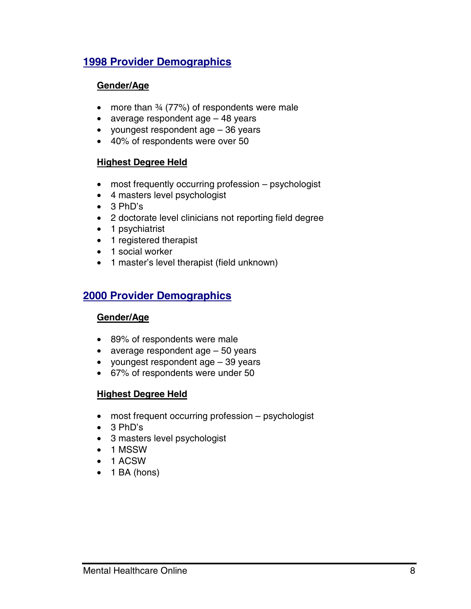## **1998 Provider Demographics**

#### **Gender/Age**

- more than 34 (77%) of respondents were male
- average respondent age 48 years
- youngest respondent age 36 years
- 40% of respondents were over 50

#### **Highest Degree Held**

- most frequently occurring profession psychologist
- 4 masters level psychologist
- 3 PhD's
- 2 doctorate level clinicians not reporting field degree
- 1 psychiatrist
- 1 registered therapist
- 1 social worker
- 1 master's level therapist (field unknown)

## **2000 Provider Demographics**

#### **Gender/Age**

- 89% of respondents were male
- average respondent age 50 years
- youngest respondent age 39 years
- 67% of respondents were under 50

#### **Highest Degree Held**

- most frequent occurring profession psychologist
- 3 PhD's
- 3 masters level psychologist
- 1 MSSW
- 1 ACSW
- 1 BA (hons)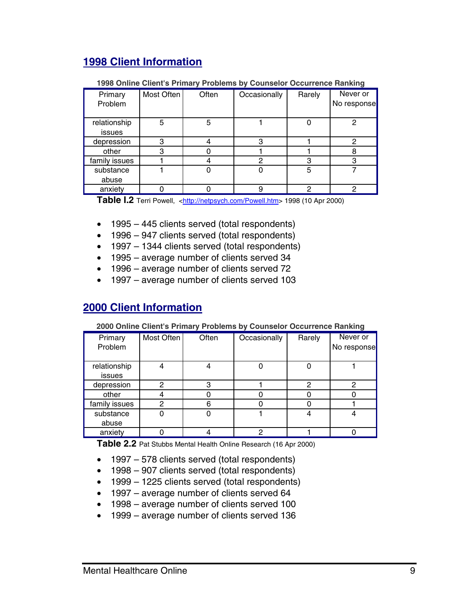## **1998 Client Information**

|               |            |       |              |        | Never or    |
|---------------|------------|-------|--------------|--------|-------------|
| Primary       | Most Often | Often | Occasionally | Rarely |             |
| Problem       |            |       |              |        | No response |
|               |            |       |              |        |             |
| relationship  | 5          | 5     |              |        | 2           |
| issues        |            |       |              |        |             |
| depression    | З          |       |              |        | 2           |
| other         | 3          |       |              |        | 8           |
| family issues |            |       |              |        | 3           |
| substance     |            |       |              | 5      |             |
| abuse         |            |       |              |        |             |
| anxiety       |            |       | 9            | റ      | 2           |

#### **1998 Online Client's Primary Problems by Counselor Occurrence Ranking**

**Table I.2** Terri Powell, <[http://netpsych.com/Powell.htm>](http://netpsych.com/Powell.htm) 1998 (10 Apr 2000)

- 1995 445 clients served (total respondents)
- 1996 947 clients served (total respondents)
- 1997 1344 clients served (total respondents)
- 1995 average number of clients served 34
- 1996 average number of clients served 72
- 1997 average number of clients served 103

### **2000 Client Information**

#### **2000 Online Client's Primary Problems by Counselor Occurrence Ranking**

| Primary<br>Problem     | Most Often | Often | Occasionally | Rarely | Never or<br>No response |
|------------------------|------------|-------|--------------|--------|-------------------------|
| relationship<br>issues |            |       |              |        |                         |
| depression             | ⌒          | з     |              | ົ      | Ω                       |
| other                  |            |       |              |        |                         |
| family issues          | 0          | հ     |              |        |                         |
| substance              |            |       |              |        |                         |
| abuse                  |            |       |              |        |                         |
| anxiety                |            |       | າ            |        |                         |

**Table 2.2** Pat Stubbs Mental Health Online Research (16 Apr 2000)

- 1997 578 clients served (total respondents)
- 1998 907 clients served (total respondents)
- 1999 1225 clients served (total respondents)
- 1997 average number of clients served 64
- 1998 average number of clients served 100
- 1999 average number of clients served 136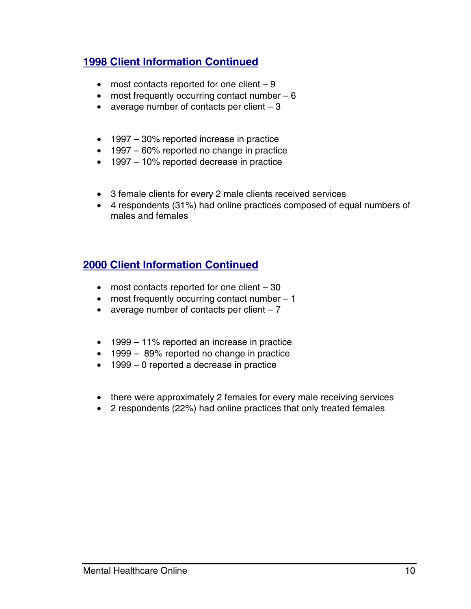## **1998 Client Information Continued**

- most contacts reported for one client  $-9$
- most frequently occurring contact number  $-6$
- average number of contacts per client  $-3$
- 1997 30% reported increase in practice
- 1997 60% reported no change in practice
- 1997 10% reported decrease in practice
- 3 female clients for every 2 male clients received services
- 4 respondents (31%) had online practices composed of equal numbers of males and females

## **2000 Client Information Continued**

- most contacts reported for one client 30
- most frequently occurring contact number 1
- average number of contacts per client  $-7$
- 1999 11% reported an increase in practice
- 1999 89% reported no change in practice
- 1999 0 reported a decrease in practice
- there were approximately 2 females for every male receiving services
- 2 respondents (22%) had online practices that only treated females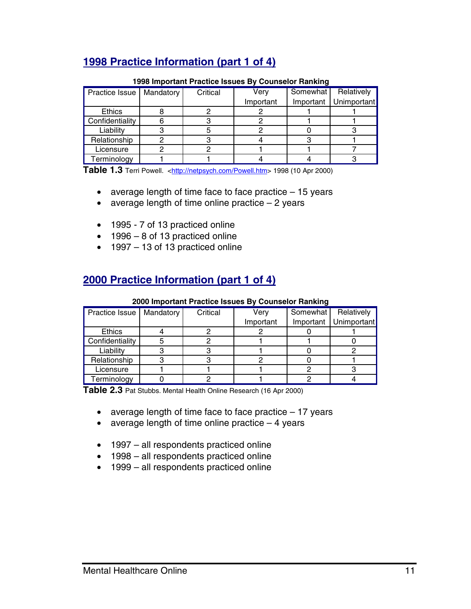## **1998 Practice Information (part 1 of 4)**

| Practice Issue  | Mandatory | Critical | Very      | Somewhat  | Relatively  |
|-----------------|-----------|----------|-----------|-----------|-------------|
|                 |           |          | Important | Important | Unimportant |
| <b>Ethics</b>   |           |          |           |           |             |
| Confidentiality |           |          |           |           |             |
| Liability       |           |          |           |           |             |
| Relationship    |           |          |           |           |             |
| Licensure       |           |          |           |           |             |
| Terminology     |           |          |           |           |             |

#### **1998 Important Practice Issues By Counselor Ranking**

**Table 1.3** Terri Powell. <[http://netpsych.com/Powell.htm>](http://netpsych.com/Powell.htm) 1998 (10 Apr 2000)

- average length of time face to face practice  $-15$  years
- average length of time online practice  $-2$  years
- 1995 7 of 13 practiced online
- 1996 8 of 13 practiced online
- 1997 13 of 13 practiced online

## **2000 Practice Information (part 1 of 4)**

#### **2000 Important Practice Issues By Counselor Ranking**

| Practice Issue  | Mandatory | Critical | Verv      | Somewhat | Relatively              |
|-----------------|-----------|----------|-----------|----------|-------------------------|
|                 |           |          | Important |          | Important   Unimportant |
| <b>Ethics</b>   |           |          |           |          |                         |
| Confidentiality |           |          |           |          |                         |
| Liability       |           |          |           |          |                         |
| Relationship    |           |          |           |          |                         |
| Licensure       |           |          |           |          |                         |
| Terminology     |           |          |           |          |                         |

**Table 2.3** Pat Stubbs. Mental Health Online Research (16 Apr 2000)

- average length of time face to face practice 17 years
- average length of time online practice  $-4$  years
- 1997 all respondents practiced online
- 1998 all respondents practiced online
- 1999 all respondents practiced online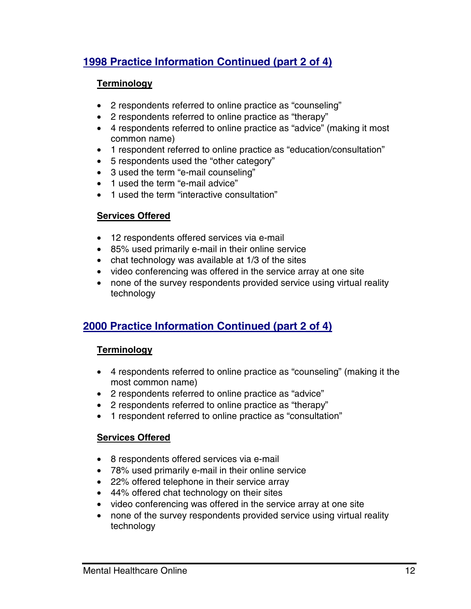## **1998 Practice Information Continued (part 2 of 4)**

#### **Terminology**

- 2 respondents referred to online practice as "counseling"
- 2 respondents referred to online practice as "therapy"
- 4 respondents referred to online practice as "advice" (making it most common name)
- 1 respondent referred to online practice as "education/consultation"
- 5 respondents used the "other category"
- 3 used the term "e-mail counseling"
- 1 used the term "e-mail advice"
- 1 used the term "interactive consultation"

#### **Services Offered**

- 12 respondents offered services via e-mail
- 85% used primarily e-mail in their online service
- chat technology was available at 1/3 of the sites
- video conferencing was offered in the service array at one site
- none of the survey respondents provided service using virtual reality technology

## **2000 Practice Information Continued (part 2 of 4)**

#### **Terminology**

- 4 respondents referred to online practice as "counseling" (making it the most common name)
- 2 respondents referred to online practice as "advice"
- 2 respondents referred to online practice as "therapy"
- 1 respondent referred to online practice as "consultation"

#### **Services Offered**

- 8 respondents offered services via e-mail
- 78% used primarily e-mail in their online service
- 22% offered telephone in their service array
- 44% offered chat technology on their sites
- video conferencing was offered in the service array at one site
- none of the survey respondents provided service using virtual reality technology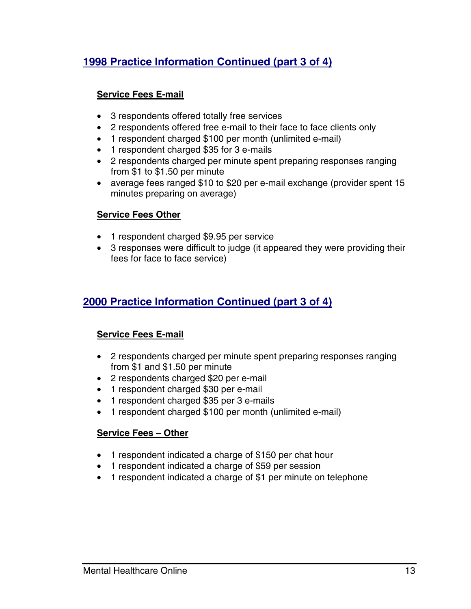## **1998 Practice Information Continued (part 3 of 4)**

#### **Service Fees E-mail**

- 3 respondents offered totally free services
- 2 respondents offered free e-mail to their face to face clients only
- 1 respondent charged \$100 per month (unlimited e-mail)
- 1 respondent charged \$35 for 3 e-mails
- 2 respondents charged per minute spent preparing responses ranging from \$1 to \$1.50 per minute
- average fees ranged \$10 to \$20 per e-mail exchange (provider spent 15 minutes preparing on average)

#### **Service Fees Other**

- 1 respondent charged \$9.95 per service
- 3 responses were difficult to judge (it appeared they were providing their fees for face to face service)

## **2000 Practice Information Continued (part 3 of 4)**

#### **Service Fees E-mail**

- 2 respondents charged per minute spent preparing responses ranging from \$1 and \$1.50 per minute
- 2 respondents charged \$20 per e-mail
- 1 respondent charged \$30 per e-mail
- 1 respondent charged \$35 per 3 e-mails
- 1 respondent charged \$100 per month (unlimited e-mail)

#### **Service Fees – Other**

- 1 respondent indicated a charge of \$150 per chat hour
- 1 respondent indicated a charge of \$59 per session
- 1 respondent indicated a charge of \$1 per minute on telephone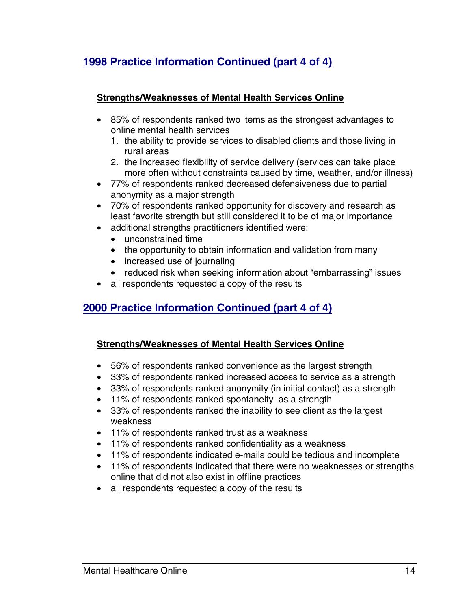## **1998 Practice Information Continued (part 4 of 4)**

#### **Strengths/Weaknesses of Mental Health Services Online**

- 85% of respondents ranked two items as the strongest advantages to online mental health services
	- 1. the ability to provide services to disabled clients and those living in rural areas
	- 2. the increased flexibility of service delivery (services can take place more often without constraints caused by time, weather, and/or illness)
- 77% of respondents ranked decreased defensiveness due to partial anonymity as a major strength
- 70% of respondents ranked opportunity for discovery and research as least favorite strength but still considered it to be of major importance
- additional strengths practitioners identified were:
	- unconstrained time
	- the opportunity to obtain information and validation from many
	- increased use of journaling
	- reduced risk when seeking information about "embarrassing" issues
- all respondents requested a copy of the results

## **2000 Practice Information Continued (part 4 of 4)**

#### **Strengths/Weaknesses of Mental Health Services Online**

- 56% of respondents ranked convenience as the largest strength
- 33% of respondents ranked increased access to service as a strength
- 33% of respondents ranked anonymity (in initial contact) as a strength
- 11% of respondents ranked spontaneity as a strength
- 33% of respondents ranked the inability to see client as the largest weakness
- 11% of respondents ranked trust as a weakness
- 11% of respondents ranked confidentiality as a weakness
- 11% of respondents indicated e-mails could be tedious and incomplete
- 11% of respondents indicated that there were no weaknesses or strengths online that did not also exist in offline practices
- all respondents requested a copy of the results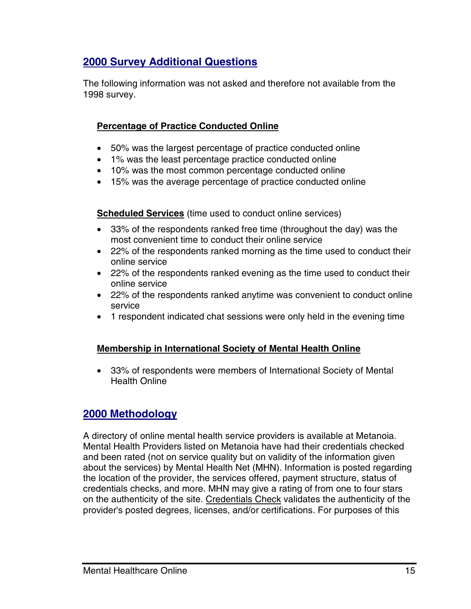## **2000 Survey Additional Questions**

The following information was not asked and therefore not available from the 1998 survey.

#### **Percentage of Practice Conducted Online**

- 50% was the largest percentage of practice conducted online
- 1% was the least percentage practice conducted online
- 10% was the most common percentage conducted online
- 15% was the average percentage of practice conducted online

**Scheduled Services** (time used to conduct online services)

- 33% of the respondents ranked free time (throughout the day) was the most convenient time to conduct their online service
- 22% of the respondents ranked morning as the time used to conduct their online service
- 22% of the respondents ranked evening as the time used to conduct their online service
- 22% of the respondents ranked anytime was convenient to conduct online service
- 1 respondent indicated chat sessions were only held in the evening time

#### **Membership in International Society of Mental Health Online**

• 33% of respondents were members of International Society of Mental Health Online

#### **2000 Methodology**

A directory of online mental health service providers is available at Metanoia. Mental Health Providers listed on Metanoia have had their credentials checked and been rated (not on service quality but on validity of the information given about the services) by Mental Health Net (MHN). Information is posted regarding the location of the provider, the services offered, payment structure, status of credentials checks, and more. MHN may give a rating of from one to four stars on the authenticity of the site. Credentials Check validates the authenticity of the provider's posted degrees, licenses, and/or certifications. For purposes of this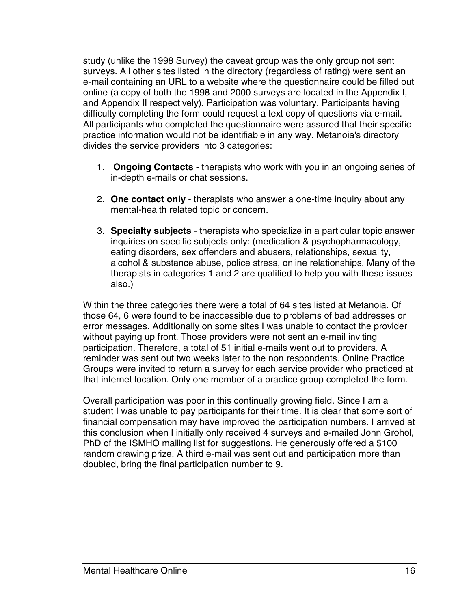study (unlike the 1998 Survey) the caveat group was the only group not sent surveys. All other sites listed in the directory (regardless of rating) were sent an e-mail containing an URL to a website where the questionnaire could be filled out online (a copy of both the 1998 and 2000 surveys are located in the Appendix I, and Appendix II respectively). Participation was voluntary. Participants having difficulty completing the form could request a text copy of questions via e-mail. All participants who completed the questionnaire were assured that their specific practice information would not be identifiable in any way. Metanoia's directory divides the service providers into 3 categories:

- 1. **Ongoing Contacts**  therapists who work with you in an ongoing series of in-depth e-mails or chat sessions.
- 2. **One contact only** therapists who answer a one-time inquiry about any mental-health related topic or concern.
- 3. **Specialty subjects** therapists who specialize in a particular topic answer inquiries on specific subjects only: (medication & psychopharmacology, eating disorders, sex offenders and abusers, relationships, sexuality, alcohol & substance abuse, police stress, online relationships. Many of the therapists in categories 1 and 2 are qualified to help you with these issues also.)

Within the three categories there were a total of 64 sites listed at Metanoia. Of those 64, 6 were found to be inaccessible due to problems of bad addresses or error messages. Additionally on some sites I was unable to contact the provider without paying up front. Those providers were not sent an e-mail inviting participation. Therefore, a total of 51 initial e-mails went out to providers. A reminder was sent out two weeks later to the non respondents. Online Practice Groups were invited to return a survey for each service provider who practiced at that internet location. Only one member of a practice group completed the form.

Overall participation was poor in this continually growing field. Since I am a student I was unable to pay participants for their time. It is clear that some sort of financial compensation may have improved the participation numbers. I arrived at this conclusion when I initially only received 4 surveys and e-mailed John Grohol, PhD of the ISMHO mailing list for suggestions. He generously offered a \$100 random drawing prize. A third e-mail was sent out and participation more than doubled, bring the final participation number to 9.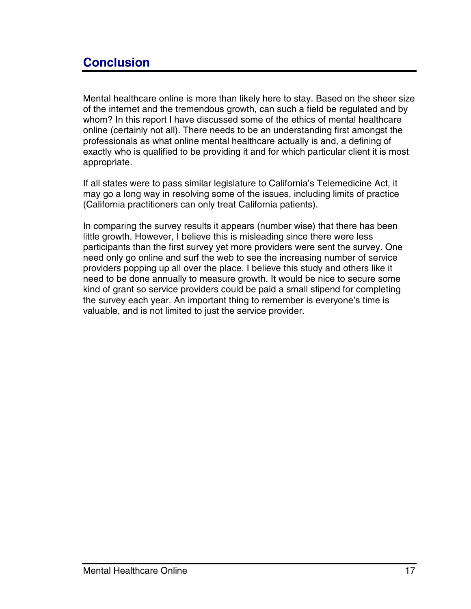# <span id="page-22-0"></span>**Conclusion**

Mental healthcare online is more than likely here to stay. Based on the sheer size of the internet and the tremendous growth, can such a field be regulated and by whom? In this report I have discussed some of the ethics of mental healthcare online (certainly not all). There needs to be an understanding first amongst the professionals as what online mental healthcare actually is and, a defining of exactly who is qualified to be providing it and for which particular client it is most appropriate.

If all states were to pass similar legislature to California's Telemedicine Act, it may go a long way in resolving some of the issues, including limits of practice (California practitioners can only treat California patients).

In comparing the survey results it appears (number wise) that there has been little growth. However, I believe this is misleading since there were less participants than the first survey yet more providers were sent the survey. One need only go online and surf the web to see the increasing number of service providers popping up all over the place. I believe this study and others like it need to be done annually to measure growth. It would be nice to secure some kind of grant so service providers could be paid a small stipend for completing the survey each year. An important thing to remember is everyone's time is valuable, and is not limited to just the service provider.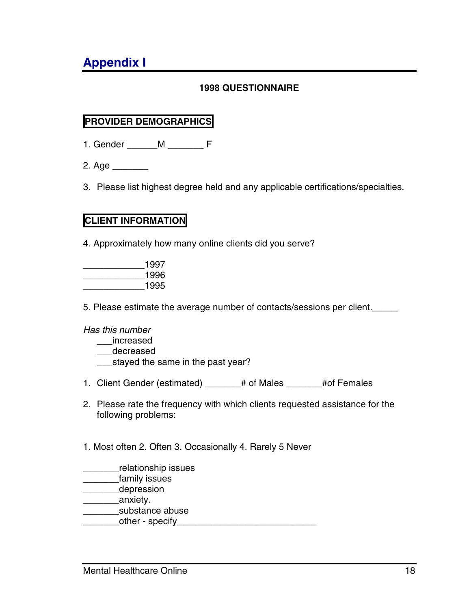# <span id="page-23-0"></span>**Appendix I**

#### **1998 QUESTIONNAIRE**

## **PROVIDER DEMOGRAPHICS**

- 1. Gender M F
- $2.$  Age  $\overline{\phantom{a}}$
- 3. Please list highest degree held and any applicable certifications/specialties.

#### **CLIENT INFORMATION**

4. Approximately how many online clients did you serve?

| 1997 |
|------|
| 1996 |
| 1995 |

5. Please estimate the average number of contacts/sessions per client.\_\_\_\_\_

#### *Has this number*

- \_\_\_increased
- \_\_\_decreased
- \_\_\_stayed the same in the past year?
- 1. Client Gender (estimated) \_\_\_\_\_\_# of Males \_\_\_\_\_\_# of Females
- 2. Please rate the frequency with which clients requested assistance for the following problems:
- 1. Most often 2. Often 3. Occasionally 4. Rarely 5 Never
- \_\_\_\_\_\_\_relationship issues
- \_\_\_\_\_\_\_family issues
- \_\_\_\_\_\_\_depression
- decay anxiety.
- \_\_\_\_\_\_\_substance abuse
- \_\_\_\_\_\_\_other specify\_\_\_\_\_\_\_\_\_\_\_\_\_\_\_\_\_\_\_\_\_\_\_\_\_\_\_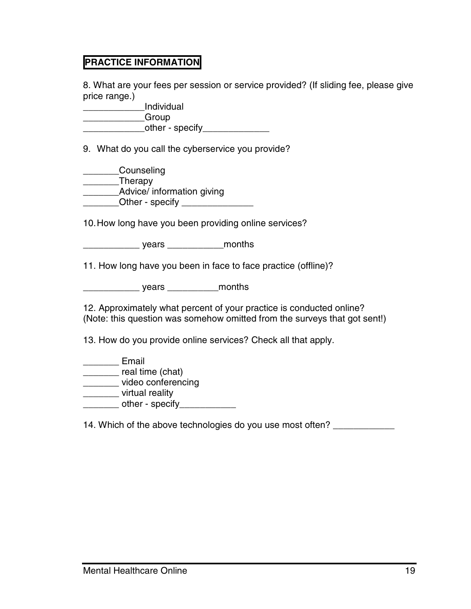#### **PRACTICE INFORMATION**

8. What are your fees per session or service provided? (If sliding fee, please give price range.)

| Individual      |  |
|-----------------|--|
| Group           |  |
| other - specify |  |

9. What do you call the cyberservice you provide?

| Counseling                 |  |
|----------------------------|--|
| Therapy                    |  |
| Advice/ information giving |  |
| Other - specify            |  |

10. How long have you been providing online services?

\_\_\_\_\_\_\_\_\_\_\_ years \_\_\_\_\_\_\_\_\_\_\_months

11. How long have you been in face to face practice (offline)?

\_\_\_\_\_\_\_\_\_\_\_ years \_\_\_\_\_\_\_\_\_\_months

12. Approximately what percent of your practice is conducted online? (Note: this question was somehow omitted from the surveys that got sent!)

13. How do you provide online services? Check all that apply.

\_\_\_\_\_\_\_ Email \_\_\_\_\_\_\_ real time (chat) \_\_\_\_\_\_\_ video conferencing

\_\_\_\_\_\_\_ virtual reality

 $\Box$  other - specify $\Box$ 

14. Which of the above technologies do you use most often? \_\_\_\_\_\_\_\_\_\_\_\_\_\_\_\_\_\_\_\_\_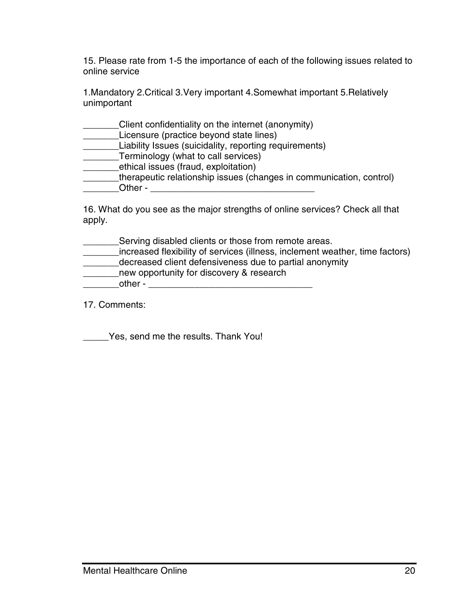15. Please rate from 1-5 the importance of each of the following issues related to online service

1.Mandatory 2.Critical 3.Very important 4.Somewhat important 5.Relatively unimportant

| Client confidentiality on the internet (anonymity)                  |
|---------------------------------------------------------------------|
| Licensure (practice beyond state lines)                             |
| Liability Issues (suicidality, reporting requirements)              |
| Terminology (what to call services)                                 |
| ethical issues (fraud, exploitation)                                |
| therapeutic relationship issues (changes in communication, control) |
| Other -                                                             |

16. What do you see as the major strengths of online services? Check all that apply.

| Serving disabled clients or those from remote areas.                         |
|------------------------------------------------------------------------------|
| increased flexibility of services (illness, inclement weather, time factors) |
| decreased client defensiveness due to partial anonymity                      |
| new opportunity for discovery & research                                     |
| other -                                                                      |

17. Comments:

\_\_\_\_\_Yes, send me the results. Thank You!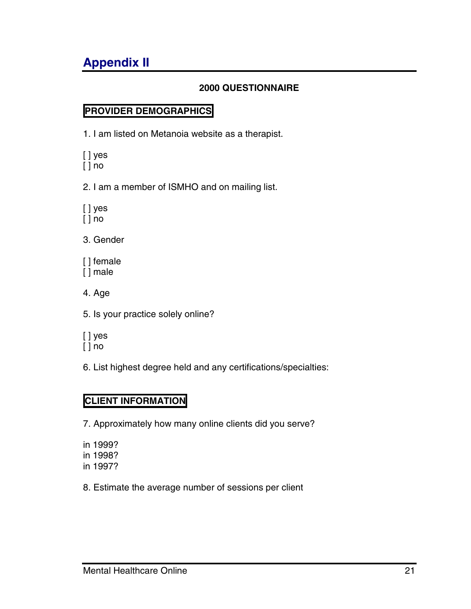# <span id="page-26-0"></span>**Appendix II**

#### **2000 QUESTIONNAIRE**

### **PROVIDER DEMOGRAPHICS**

1. I am listed on Metanoia website as a therapist.

[ ] yes  $[ ]$  no

2. I am a member of ISMHO and on mailing list.

[ ] yes [ ] no

3. Gender

[] female [ ] male

4. Age

5. Is your practice solely online?

[ ] yes

[ ] no

6. List highest degree held and any certifications/specialties:

#### **CLIENT INFORMATION**

7. Approximately how many online clients did you serve?

in 1999? in 1998? in 1997?

8. Estimate the average number of sessions per client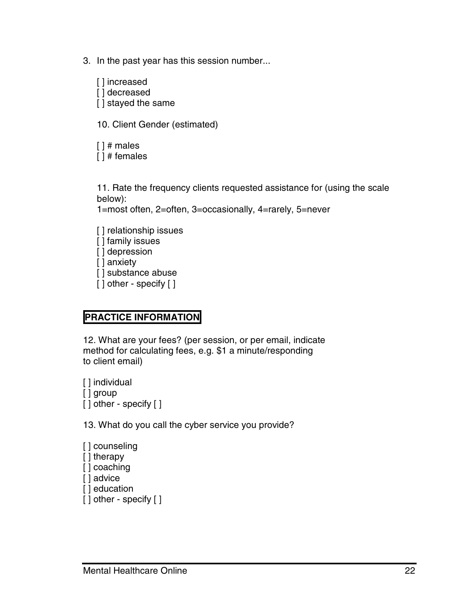3. In the past year has this session number...

[ ] increased [ ] decreased [] stayed the same

10. Client Gender (estimated)

[ ] # males [ ] # females

11. Rate the frequency clients requested assistance for (using the scale below):

1=most often, 2=often, 3=occasionally, 4=rarely, 5=never

[] relationship issues [] family issues [] depression [ ] anxiety [] substance abuse [ ] other - specify [ ]

#### **PRACTICE INFORMATION**

12. What are your fees? (per session, or per email, indicate method for calculating fees, e.g. \$1 a minute/responding to client email)

[ ] individual [ ] group [ ] other - specify [ ]

13. What do you call the cyber service you provide?

[ ] counseling [ ] therapy [ ] coaching [ ] advice [ ] education [ ] other - specify [ ]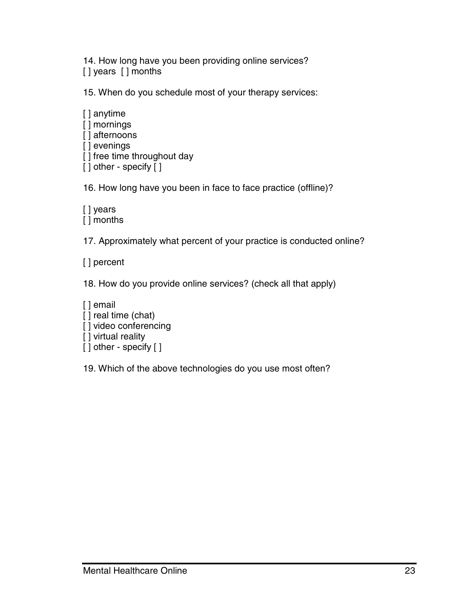14. How long have you been providing online services? [] years [] months

15. When do you schedule most of your therapy services:

[ ] anytime [ ] mornings [] afternoons [ ] evenings [] free time throughout day [ ] other - specify [ ]

16. How long have you been in face to face practice (offline)?

[ ] years [ ] months

17. Approximately what percent of your practice is conducted online?

[ ] percent

18. How do you provide online services? (check all that apply)

[ ] email [] real time (chat) [] video conferencing [] virtual reality [ ] other - specify [ ]

19. Which of the above technologies do you use most often?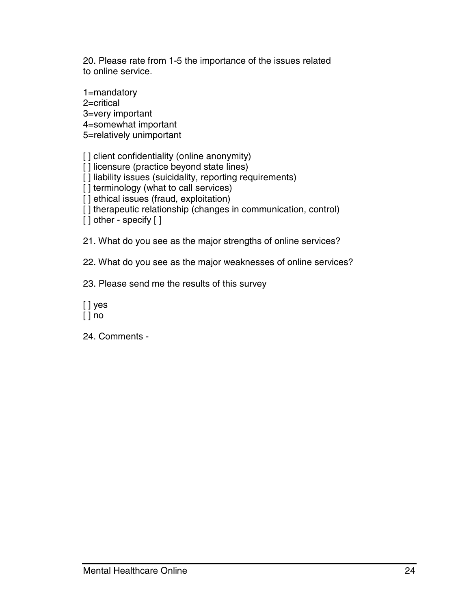20. Please rate from 1-5 the importance of the issues related to online service.

1=mandatory 2=critical 3=very important 4=somewhat important

5=relatively unimportant

[] client confidentiality (online anonymity)

[] licensure (practice beyond state lines)

[] liability issues (suicidality, reporting requirements)

[] terminology (what to call services)

[] ethical issues (fraud, exploitation)

[] therapeutic relationship (changes in communication, control)

[ ] other - specify [ ]

21. What do you see as the major strengths of online services?

22. What do you see as the major weaknesses of online services?

23. Please send me the results of this survey

[ ] yes  $[ ]$  no

24. Comments -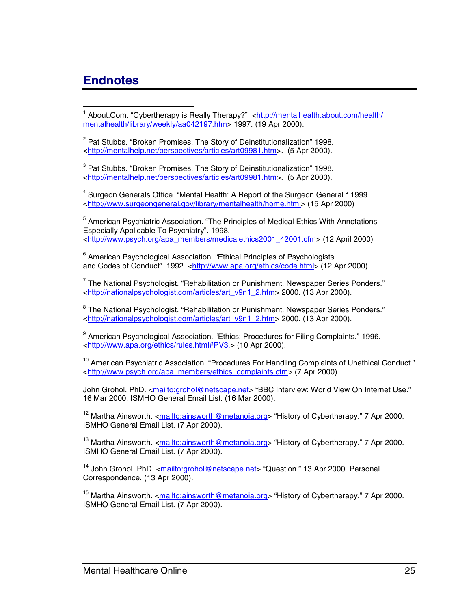## <span id="page-30-0"></span>**Endnotes**

 1 About.Com. "Cybertherapy is Really Therapy?" <http://mentalhealth.about.com/health/ mentalhealth/library/weekly/aa042197.htm> 1997. (19 Apr 2000).

<sup>2</sup> Pat Stubbs. "Broken Promises, The Story of Deinstitutionalization" 1998. <http://mentalhelp.net/perspectives/articles/art09981.htm>. (5 Apr 2000).

<sup>3</sup> Pat Stubbs. "Broken Promises, The Story of Deinstitutionalization" 1998. <http://mentalhelp.net/perspectives/articles/art09981.htm>. (5 Apr 2000).

<sup>4</sup> Surgeon Generals Office. "Mental Health: A Report of the Surgeon General." 1999. <http://www.surgeongeneral.gov/library/mentalhealth/home.html> (15 Apr 2000)

<sup>5</sup> American Psychiatric Association. "The Principles of Medical Ethics With Annotations Especially Applicable To Psychiatry". 1998. <http://www.psych.org/apa\_members/medicalethics2001\_42001.cfm> (12 April 2000)

<sup>6</sup> American Psychological Association. "Ethical Principles of Psychologists and Codes of Conduct" 1992. <http://www.apa.org/ethics/code.html> (12 Apr 2000).

 $^7$  The National Psychologist. "Rehabilitation or Punishment, Newspaper Series Ponders." <http://nationalpsychologist.com/articles/art\_v9n1\_2.htm> 2000. (13 Apr 2000).

<sup>8</sup> The National Psychologist. "Rehabilitation or Punishment, Newspaper Series Ponders." <http://nationalpsychologist.com/articles/art\_v9n1\_2.htm> 2000. (13 Apr 2000).

<sup>9</sup> American Psychological Association. "Ethics: Procedures for Filing Complaints." 1996. <http://www.apa.org/ethics/rules.html#PV3.> (10 Apr 2000).

 $10$  American Psychiatric Association. "Procedures For Handling Complaints of Unethical Conduct." <http://www.psych.org/apa\_members/ethics\_complaints.cfm> (7 Apr 2000)

John Grohol, PhD. <mailto:grohol@netscape.net> "BBC Interview: World View On Internet Use." 16 Mar 2000. ISMHO General Email List. (16 Mar 2000).

<sup>12</sup> Martha Ainsworth. <mailto:ainsworth@metanoia.org> "History of Cybertherapy." 7 Apr 2000. ISMHO General Email List. (7 Apr 2000).

<sup>13</sup> Martha Ainsworth. <mailto:ainsworth@metanoia.org> "History of Cybertherapy." 7 Apr 2000. ISMHO General Email List. (7 Apr 2000).

<sup>14</sup> John Grohol. PhD. <mailto:grohol@netscape.net> "Question." 13 Apr 2000. Personal Correspondence. (13 Apr 2000).

<sup>15</sup> Martha Ainsworth. <mailto:ainsworth@metanoia.org> "History of Cybertherapy." 7 Apr 2000. ISMHO General Email List. (7 Apr 2000).